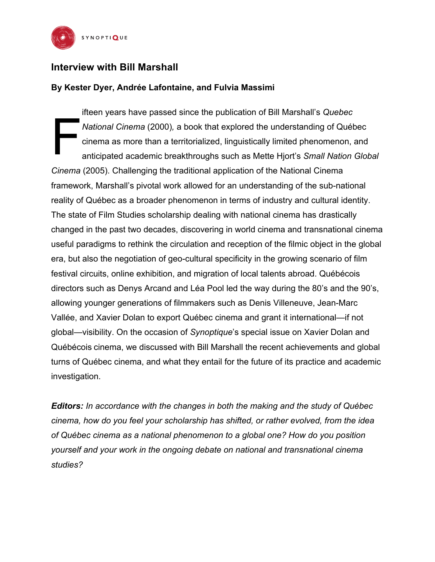

## **Interview with Bill Marshall**

## **By Kester Dyer, Andrée Lafontaine, and Fulvia Massimi**

ifteen years have passed since the publication of Bill Marshall's *Quebec National Cinema* (2000)*,* a book that explored the understanding of Québec cinema as more than a territorialized, linguistically limited phenomenon, and anticipated academic breakthroughs such as Mette Hjort's *Small Nation Global Cinema* (2005). Challenging the traditional application of the National Cinema framework, Marshall's pivotal work allowed for an understanding of the sub-national reality of Québec as a broader phenomenon in terms of industry and cultural identity. The state of Film Studies scholarship dealing with national cinema has drastically changed in the past two decades, discovering in world cinema and transnational cinema useful paradigms to rethink the circulation and reception of the filmic object in the global era, but also the negotiation of geo-cultural specificity in the growing scenario of film festival circuits, online exhibition, and migration of local talents abroad. Québécois directors such as Denys Arcand and Léa Pool led the way during the 80's and the 90's, allowing younger generations of filmmakers such as Denis Villeneuve, Jean-Marc Vallée, and Xavier Dolan to export Québec cinema and grant it international—if not global—visibility. On the occasion of *Synoptique*'s special issue on Xavier Dolan and Québécois cinema, we discussed with Bill Marshall the recent achievements and global turns of Québec cinema, and what they entail for the future of its practice and academic investigation. F

*Editors: In accordance with the changes in both the making and the study of Québec cinema, how do you feel your scholarship has shifted, or rather evolved, from the idea of Québec cinema as a national phenomenon to a global one? How do you position yourself and your work in the ongoing debate on national and transnational cinema studies?*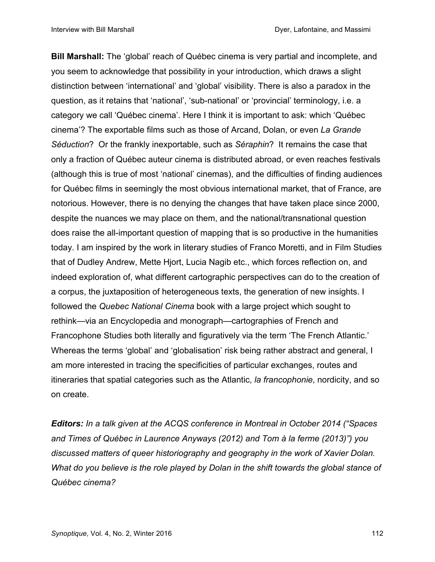**Bill Marshall:** The 'global' reach of Québec cinema is very partial and incomplete, and you seem to acknowledge that possibility in your introduction, which draws a slight distinction between 'international' and 'global' visibility. There is also a paradox in the question, as it retains that 'national', 'sub-national' or 'provincial' terminology, i.e. a category we call 'Québec cinema'. Here I think it is important to ask: which 'Québec cinema'? The exportable films such as those of Arcand, Dolan, or even *La Grande Séduction*? Or the frankly inexportable, such as *Séraphin*? It remains the case that only a fraction of Québec auteur cinema is distributed abroad, or even reaches festivals (although this is true of most 'national' cinemas), and the difficulties of finding audiences for Québec films in seemingly the most obvious international market, that of France, are notorious. However, there is no denying the changes that have taken place since 2000, despite the nuances we may place on them, and the national/transnational question does raise the all-important question of mapping that is so productive in the humanities today. I am inspired by the work in literary studies of Franco Moretti, and in Film Studies that of Dudley Andrew, Mette Hjort, Lucia Nagib etc., which forces reflection on, and indeed exploration of, what different cartographic perspectives can do to the creation of a corpus, the juxtaposition of heterogeneous texts, the generation of new insights. I followed the *Quebec National Cinema* book with a large project which sought to rethink—via an Encyclopedia and monograph—cartographies of French and Francophone Studies both literally and figuratively via the term 'The French Atlantic.' Whereas the terms 'global' and 'globalisation' risk being rather abstract and general, I am more interested in tracing the specificities of particular exchanges, routes and itineraries that spatial categories such as the Atlantic, *la francophonie*, nordicity, and so on create.

*Editors: In a talk given at the ACQS conference in Montreal in October 2014 ("Spaces and Times of Québec in Laurence Anyways (2012) and Tom à la ferme (2013)") you discussed matters of queer historiography and geography in the work of Xavier Dolan. What do you believe is the role played by Dolan in the shift towards the global stance of Québec cinema?*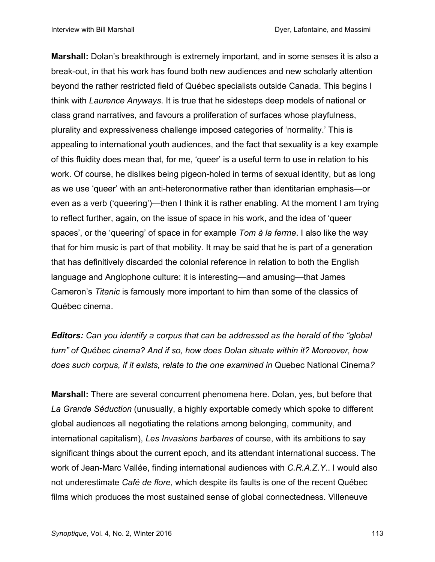**Marshall:** Dolan's breakthrough is extremely important, and in some senses it is also a break-out, in that his work has found both new audiences and new scholarly attention beyond the rather restricted field of Québec specialists outside Canada. This begins I think with *Laurence Anyways*. It is true that he sidesteps deep models of national or class grand narratives, and favours a proliferation of surfaces whose playfulness, plurality and expressiveness challenge imposed categories of 'normality.' This is appealing to international youth audiences, and the fact that sexuality is a key example of this fluidity does mean that, for me, 'queer' is a useful term to use in relation to his work. Of course, he dislikes being pigeon-holed in terms of sexual identity, but as long as we use 'queer' with an anti-heteronormative rather than identitarian emphasis—or even as a verb ('queering')—then I think it is rather enabling. At the moment I am trying to reflect further, again, on the issue of space in his work, and the idea of 'queer spaces', or the 'queering' of space in for example *Tom à la ferme*. I also like the way that for him music is part of that mobility. It may be said that he is part of a generation that has definitively discarded the colonial reference in relation to both the English language and Anglophone culture: it is interesting—and amusing—that James Cameron's *Titanic* is famously more important to him than some of the classics of Québec cinema.

*Editors: Can you identify a corpus that can be addressed as the herald of the "global turn" of Québec cinema? And if so, how does Dolan situate within it? Moreover, how does such corpus, if it exists, relate to the one examined in* Quebec National Cinema*?*

**Marshall:** There are several concurrent phenomena here. Dolan, yes, but before that *La Grande Séduction* (unusually, a highly exportable comedy which spoke to different global audiences all negotiating the relations among belonging, community, and international capitalism), *Les Invasions barbares* of course, with its ambitions to say significant things about the current epoch, and its attendant international success. The work of Jean-Marc Vallée, finding international audiences with *C.R.A.Z.Y*.. I would also not underestimate *Café de flore*, which despite its faults is one of the recent Québec films which produces the most sustained sense of global connectedness. Villeneuve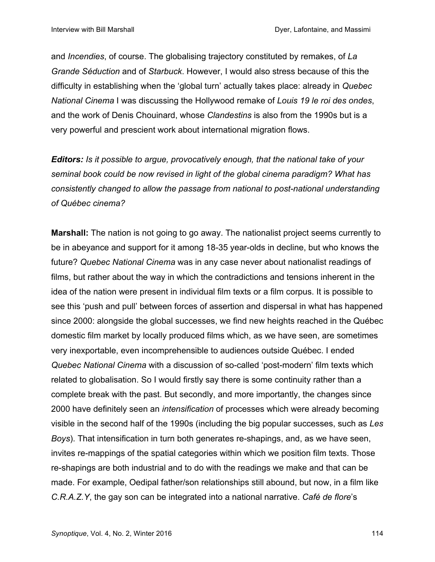and *Incendies*, of course. The globalising trajectory constituted by remakes, of *La Grande Séduction* and of *Starbuck*. However, I would also stress because of this the difficulty in establishing when the 'global turn' actually takes place: already in *Quebec National Cinema* I was discussing the Hollywood remake of *Louis 19 le roi des ondes*, and the work of Denis Chouinard, whose *Clandestins* is also from the 1990s but is a very powerful and prescient work about international migration flows.

*Editors: Is it possible to argue, provocatively enough, that the national take of your seminal book could be now revised in light of the global cinema paradigm? What has consistently changed to allow the passage from national to post-national understanding of Québec cinema?*

**Marshall:** The nation is not going to go away. The nationalist project seems currently to be in abeyance and support for it among 18-35 year-olds in decline, but who knows the future? *Quebec National Cinema* was in any case never about nationalist readings of films, but rather about the way in which the contradictions and tensions inherent in the idea of the nation were present in individual film texts or a film corpus. It is possible to see this 'push and pull' between forces of assertion and dispersal in what has happened since 2000: alongside the global successes, we find new heights reached in the Québec domestic film market by locally produced films which, as we have seen, are sometimes very inexportable, even incomprehensible to audiences outside Québec. I ended *Quebec National Cinema* with a discussion of so-called 'post-modern' film texts which related to globalisation. So I would firstly say there is some continuity rather than a complete break with the past. But secondly, and more importantly, the changes since 2000 have definitely seen an *intensification* of processes which were already becoming visible in the second half of the 1990s (including the big popular successes, such as *Les Boys*). That intensification in turn both generates re-shapings, and, as we have seen, invites re-mappings of the spatial categories within which we position film texts. Those re-shapings are both industrial and to do with the readings we make and that can be made. For example, Oedipal father/son relationships still abound, but now, in a film like *C.R.A.Z.Y*, the gay son can be integrated into a national narrative. *Café de flore*'s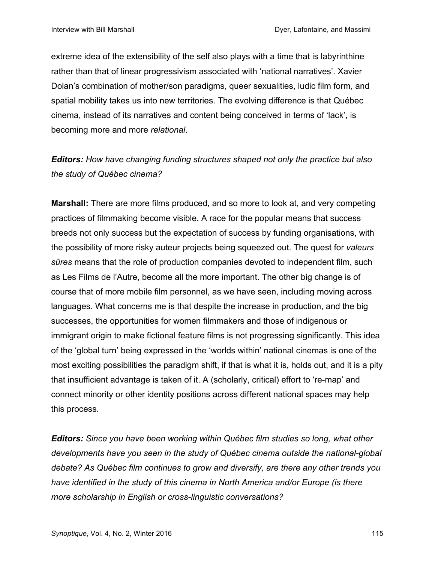extreme idea of the extensibility of the self also plays with a time that is labyrinthine rather than that of linear progressivism associated with 'national narratives'. Xavier Dolan's combination of mother/son paradigms, queer sexualities, ludic film form, and spatial mobility takes us into new territories. The evolving difference is that Québec cinema, instead of its narratives and content being conceived in terms of 'lack', is becoming more and more *relational*.

*Editors: How have changing funding structures shaped not only the practice but also the study of Québec cinema?*

**Marshall:** There are more films produced, and so more to look at, and very competing practices of filmmaking become visible. A race for the popular means that success breeds not only success but the expectation of success by funding organisations, with the possibility of more risky auteur projects being squeezed out. The quest for *valeurs sûres* means that the role of production companies devoted to independent film, such as Les Films de l'Autre, become all the more important. The other big change is of course that of more mobile film personnel, as we have seen, including moving across languages. What concerns me is that despite the increase in production, and the big successes, the opportunities for women filmmakers and those of indigenous or immigrant origin to make fictional feature films is not progressing significantly. This idea of the 'global turn' being expressed in the 'worlds within' national cinemas is one of the most exciting possibilities the paradigm shift, if that is what it is, holds out, and it is a pity that insufficient advantage is taken of it. A (scholarly, critical) effort to 're-map' and connect minority or other identity positions across different national spaces may help this process.

*Editors: Since you have been working within Québec film studies so long, what other developments have you seen in the study of Québec cinema outside the national-global debate? As Québec film continues to grow and diversify, are there any other trends you have identified in the study of this cinema in North America and/or Europe (is there more scholarship in English or cross-linguistic conversations?*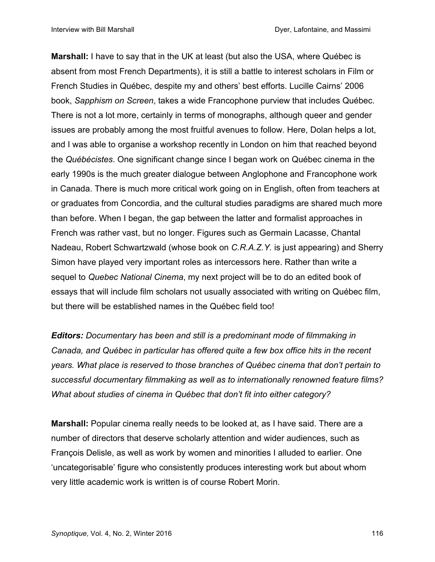**Marshall:** I have to say that in the UK at least (but also the USA, where Québec is absent from most French Departments), it is still a battle to interest scholars in Film or French Studies in Québec, despite my and others' best efforts. Lucille Cairns' 2006 book, *Sapphism on Screen*, takes a wide Francophone purview that includes Québec. There is not a lot more, certainly in terms of monographs, although queer and gender issues are probably among the most fruitful avenues to follow. Here, Dolan helps a lot, and I was able to organise a workshop recently in London on him that reached beyond the *Québécistes*. One significant change since I began work on Québec cinema in the early 1990s is the much greater dialogue between Anglophone and Francophone work in Canada. There is much more critical work going on in English, often from teachers at or graduates from Concordia, and the cultural studies paradigms are shared much more than before. When I began, the gap between the latter and formalist approaches in French was rather vast, but no longer. Figures such as Germain Lacasse, Chantal Nadeau, Robert Schwartzwald (whose book on *C.R.A.Z.Y.* is just appearing) and Sherry Simon have played very important roles as intercessors here. Rather than write a sequel to *Quebec National Cinema*, my next project will be to do an edited book of essays that will include film scholars not usually associated with writing on Québec film, but there will be established names in the Québec field too!

*Editors: Documentary has been and still is a predominant mode of filmmaking in Canada, and Québec in particular has offered quite a few box office hits in the recent years. What place is reserved to those branches of Québec cinema that don't pertain to successful documentary filmmaking as well as to internationally renowned feature films? What about studies of cinema in Québec that don't fit into either category?*

**Marshall:** Popular cinema really needs to be looked at, as I have said. There are a number of directors that deserve scholarly attention and wider audiences, such as François Delisle, as well as work by women and minorities I alluded to earlier. One 'uncategorisable' figure who consistently produces interesting work but about whom very little academic work is written is of course Robert Morin.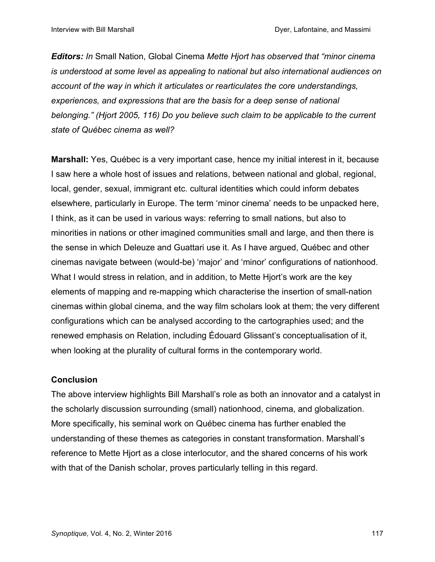*Editors: In* Small Nation, Global Cinema *Mette Hjort has observed that "minor cinema is understood at some level as appealing to national but also international audiences on account of the way in which it articulates or rearticulates the core understandings, experiences, and expressions that are the basis for a deep sense of national belonging." (Hjort 2005, 116) Do you believe such claim to be applicable to the current state of Québec cinema as well?* 

**Marshall:** Yes, Québec is a very important case, hence my initial interest in it, because I saw here a whole host of issues and relations, between national and global, regional, local, gender, sexual, immigrant etc. cultural identities which could inform debates elsewhere, particularly in Europe. The term 'minor cinema' needs to be unpacked here, I think, as it can be used in various ways: referring to small nations, but also to minorities in nations or other imagined communities small and large, and then there is the sense in which Deleuze and Guattari use it. As I have argued, Québec and other cinemas navigate between (would-be) 'major' and 'minor' configurations of nationhood. What I would stress in relation, and in addition, to Mette Hjort's work are the key elements of mapping and re-mapping which characterise the insertion of small-nation cinemas within global cinema, and the way film scholars look at them; the very different configurations which can be analysed according to the cartographies used; and the renewed emphasis on Relation, including Édouard Glissant's conceptualisation of it, when looking at the plurality of cultural forms in the contemporary world.

## **Conclusion**

The above interview highlights Bill Marshall's role as both an innovator and a catalyst in the scholarly discussion surrounding (small) nationhood, cinema, and globalization. More specifically, his seminal work on Québec cinema has further enabled the understanding of these themes as categories in constant transformation. Marshall's reference to Mette Hjort as a close interlocutor, and the shared concerns of his work with that of the Danish scholar, proves particularly telling in this regard.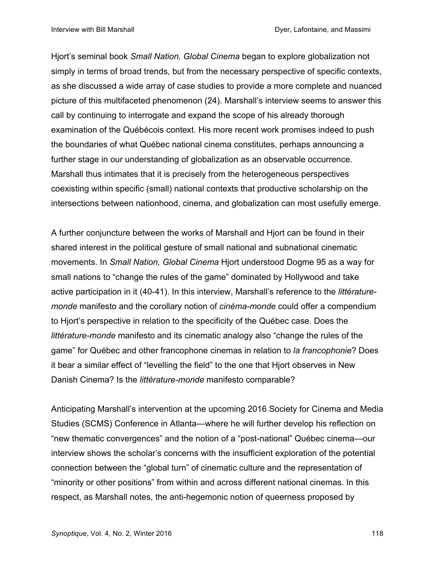Hjort's seminal book *Small Nation, Global Cinema* began to explore globalization not simply in terms of broad trends, but from the necessary perspective of specific contexts, as she discussed a wide array of case studies to provide a more complete and nuanced picture of this multifaceted phenomenon (24). Marshall's interview seems to answer this call by continuing to interrogate and expand the scope of his already thorough examination of the Québécois context. His more recent work promises indeed to push the boundaries of what Québec national cinema constitutes, perhaps announcing a further stage in our understanding of globalization as an observable occurrence. Marshall thus intimates that it is precisely from the heterogeneous perspectives coexisting within specific (small) national contexts that productive scholarship on the intersections between nationhood, cinema, and globalization can most usefully emerge.

A further conjuncture between the works of Marshall and Hjort can be found in their shared interest in the political gesture of small national and subnational cinematic movements. In *Small Nation, Global Cinema* Hjort understood Dogme 95 as a way for small nations to "change the rules of the game" dominated by Hollywood and take active participation in it (40-41). In this interview, Marshall's reference to the *littératuremonde* manifesto and the corollary notion of *cinéma-monde* could offer a compendium to Hjort's perspective in relation to the specificity of the Québec case. Does the *littérature-monde* manifesto and its cinematic analogy also "change the rules of the game" for Québec and other francophone cinemas in relation to *la francophonie*? Does it bear a similar effect of "levelling the field" to the one that Hjort observes in New Danish Cinema? Is the *littérature-monde* manifesto comparable?

Anticipating Marshall's intervention at the upcoming 2016 Society for Cinema and Media Studies (SCMS) Conference in Atlanta—where he will further develop his reflection on "new thematic convergences" and the notion of a "post-national" Québec cinema—our interview shows the scholar's concerns with the insufficient exploration of the potential connection between the "global turn" of cinematic culture and the representation of "minority or other positions" from within and across different national cinemas. In this respect, as Marshall notes, the anti-hegemonic notion of queerness proposed by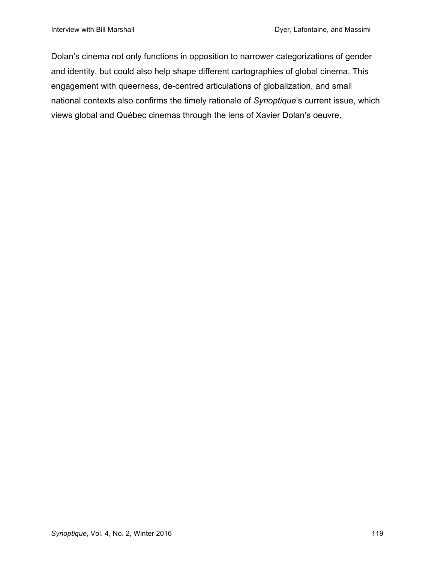Dolan's cinema not only functions in opposition to narrower categorizations of gender and identity, but could also help shape different cartographies of global cinema. This engagement with queerness, de-centred articulations of globalization, and small national contexts also confirms the timely rationale of *Synoptique*'s current issue, which views global and Québec cinemas through the lens of Xavier Dolan's oeuvre.